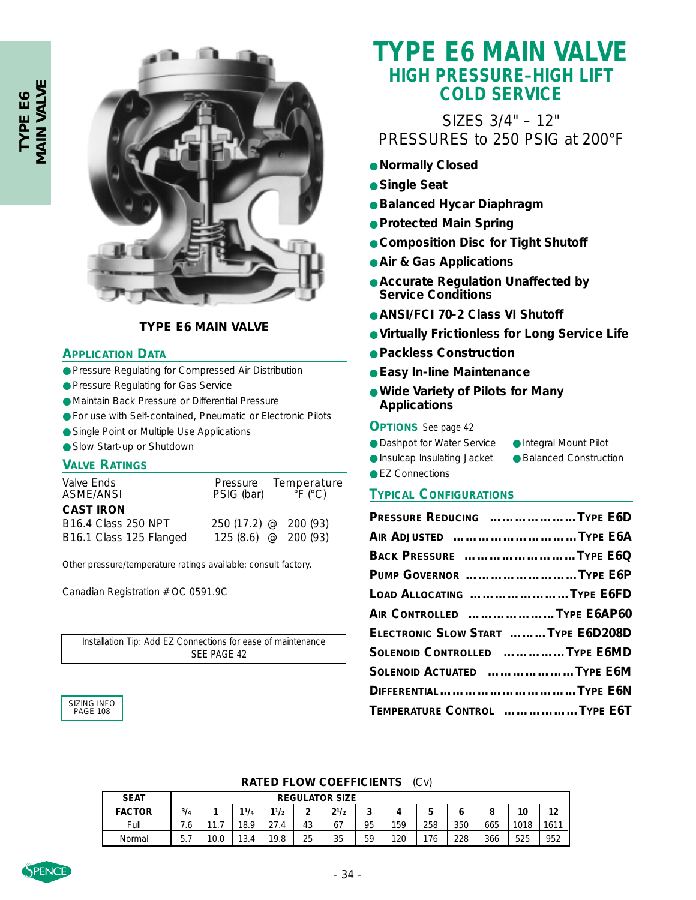

### **TYPE E6 MAIN VALVE**

#### **APPLICATION DATA**

- Pressure Regulating for Compressed Air Distribution
- Pressure Regulating for Gas Service
- Maintain Back Pressure or Differential Pressure
- For use with Self-contained, Pneumatic or Electronic Pilots
- Single Point or Multiple Use Applications
- Slow Start-up or Shutdown

#### **VALVE RATINGS**

| Valve Ends<br>ASME/ANSI    | PSIG (bar)            | Pressure Temperature<br>$\degree$ F ( $\degree$ C) |
|----------------------------|-----------------------|----------------------------------------------------|
| <b>CAST IRON</b>           |                       |                                                    |
| <b>B16.4 Class 250 NPT</b> | $250(17.2)$ @ 200(93) |                                                    |
| B16.1 Class 125 Flanged    | $125(8.6)$ @ 200 (93) |                                                    |

Other pressure/temperature ratings available; consult factory.

Canadian Registration # OC 0591.9C

*Installation Tip:* Add EZ Connections for ease of maintenance SEE PAGE 42

## SIZING INFO PAGE 108

# **TYPE E6 MAIN VALVE HIGH PRESSURE–HIGH LIFT COLD SERVICE**

# SIZES 3/4" – 12" PRESSURES to 250 PSIG at 200°F

- **Normally Closed**
- **Single Seat**
- **Balanced Hycar Diaphragm**
- **Protected Main Spring**
- **Composition Disc for Tight Shutoff**
- **Air & Gas Applications**
- **Accurate Regulation Unaffected by Service Conditions**
- **ANSI/FCI 70-2 Class VI Shutoff**
- **Virtually Frictionless for Long Service Life**
- **Packless Construction**
- **Easy In-line Maintenance**
- **Wide Variety of Pilots for Many Applications**

#### **OPTIONS** *See page 42*

| Integral Mount Pilot | • Dashpot for Water Service |
|----------------------|-----------------------------|
|                      |                             |

| <b>Insulcap Insulating Jacket</b> | • Balanced Construction |
|-----------------------------------|-------------------------|
|-----------------------------------|-------------------------|

● EZ Connections

#### **TYPICAL CONFIGURATIONS**

| PRESSURE REDUCING TYPE E6D         |  |
|------------------------------------|--|
| AIR ADJUSTED TYPE E6A              |  |
| BACK PRESSURE TYPE E6Q             |  |
| PUMP GOVERNOR TYPE E6P             |  |
| LOAD ALLOCATING TYPE E6FD          |  |
| AIR CONTROLLED TYPE E6AP60         |  |
| ELECTRONIC SLOW START TYPE E6D208D |  |
| SOLENOID CONTROLLED TYPE E6MD      |  |
| SOLENOID ACTUATED TYPE E6M         |  |
| DIFFERENTIALTYPE E6N               |  |
| TEMPERATURE CONTROL TYPE E6T       |  |

#### **RATED FLOW COEFFICIENTS** (Cv)

| <b>SEAT</b>   |                 | <b>REGULATOR SIZE</b> |      |      |    |           |    |     |     |     |     |      |      |
|---------------|-----------------|-----------------------|------|------|----|-----------|----|-----|-----|-----|-----|------|------|
| <b>FACTOR</b> | 3/4             |                       | 11/4 | 11/2 | ∽  | $2^{1/2}$ |    | 4   |     |     |     | 10   | 12   |
| Full          | 6.'             | 44<br>.               | 18.9 | 27.4 | 43 | 67        | 95 | 159 | 258 | 350 | 665 | 1018 | 1611 |
| Normal        | <b>5</b><br>ن ب | 10.0                  | 13.4 | 19.8 | 25 | 35        | 59 | 120 | 176 | 228 | 366 | 525  | 952  |